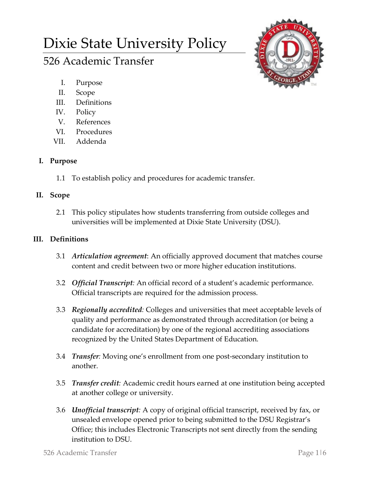# Dixie State University Policy

# 526 Academic Transfer



- I. Purpose
- II. Scope
- III. Definitions
- IV. Policy
- V. References
- VI. Procedures
- VII. Addenda

### **I. Purpose**

1.1 To establish policy and procedures for academic transfer.

#### **II. Scope**

2.1 This policy stipulates how students transferring from outside colleges and universities will be implemented at Dixie State University (DSU).

## **III. Definitions**

- 3.1 *Articulation agreement*: An officially approved document that matches course content and credit between two or more higher education institutions.
- 3.2 *Official Transcript:* An official record of a student's academic performance. Official transcripts are required for the admission process.
- 3.3 *Regionally accredited:* Colleges and universities that meet acceptable levels of quality and performance as demonstrated through accreditation (or being a candidate for accreditation) by one of the regional accrediting associations recognized by the United States Department of Education.
- 3.4 *Transfer:* Moving one's enrollment from one post-secondary institution to another.
- 3.5 *Transfer credit:* Academic credit hours earned at one institution being accepted at another college or university.
- 3.6 *Unofficial transcript:* A copy of original official transcript, received by fax, or unsealed envelope opened prior to being submitted to the DSU Registrar's Office; this includes Electronic Transcripts not sent directly from the sending institution to DSU.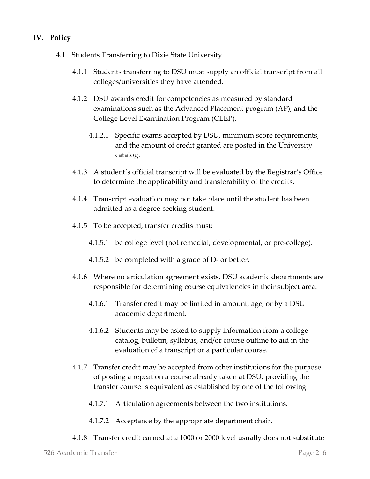#### **IV. Policy**

- 4.1 Students Transferring to Dixie State University
	- 4.1.1 Students transferring to DSU must supply an official transcript from all colleges/universities they have attended.
	- 4.1.2 DSU awards credit for competencies as measured by standard examinations such as the Advanced Placement program (AP), and the College Level Examination Program (CLEP).
		- 4.1.2.1 Specific exams accepted by DSU, minimum score requirements, and the amount of credit granted are posted in the University catalog.
	- 4.1.3 A student's official transcript will be evaluated by the Registrar's Office to determine the applicability and transferability of the credits.
	- 4.1.4 Transcript evaluation may not take place until the student has been admitted as a degree-seeking student.
	- 4.1.5 To be accepted, transfer credits must:
		- 4.1.5.1 be college level (not remedial, developmental, or pre-college).
		- 4.1.5.2 be completed with a grade of D- or better.
	- 4.1.6 Where no articulation agreement exists, DSU academic departments are responsible for determining course equivalencies in their subject area.
		- 4.1.6.1 Transfer credit may be limited in amount, age, or by a DSU academic department.
		- 4.1.6.2 Students may be asked to supply information from a college catalog, bulletin, syllabus, and/or course outline to aid in the evaluation of a transcript or a particular course.
	- 4.1.7 Transfer credit may be accepted from other institutions for the purpose of posting a repeat on a course already taken at DSU, providing the transfer course is equivalent as established by one of the following:
		- 4.1.7.1 Articulation agreements between the two institutions.
		- 4.1.7.2 Acceptance by the appropriate department chair.
	- 4.1.8 Transfer credit earned at a 1000 or 2000 level usually does not substitute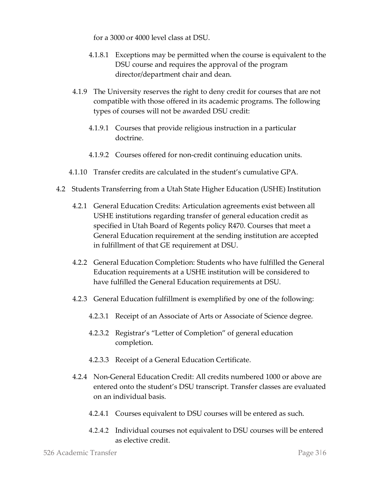for a 3000 or 4000 level class at DSU.

- 4.1.8.1 Exceptions may be permitted when the course is equivalent to the DSU course and requires the approval of the program director/department chair and dean.
- 4.1.9 The University reserves the right to deny credit for courses that are not compatible with those offered in its academic programs. The following types of courses will not be awarded DSU credit:
	- 4.1.9.1 Courses that provide religious instruction in a particular doctrine.
	- 4.1.9.2 Courses offered for non-credit continuing education units.
- 4.1.10 Transfer credits are calculated in the student's cumulative GPA.
- 4.2 Students Transferring from a Utah State Higher Education (USHE) Institution
	- 4.2.1 General Education Credits: Articulation agreements exist between all USHE institutions regarding transfer of general education credit as specified in Utah Board of Regents policy R470. Courses that meet a General Education requirement at the sending institution are accepted in fulfillment of that GE requirement at DSU.
	- 4.2.2 General Education Completion: Students who have fulfilled the General Education requirements at a USHE institution will be considered to have fulfilled the General Education requirements at DSU.
	- 4.2.3 General Education fulfillment is exemplified by one of the following:
		- 4.2.3.1 Receipt of an Associate of Arts or Associate of Science degree.
		- 4.2.3.2 Registrar's "Letter of Completion" of general education completion.
		- 4.2.3.3 Receipt of a General Education Certificate.
	- 4.2.4 Non-General Education Credit: All credits numbered 1000 or above are entered onto the student's DSU transcript. Transfer classes are evaluated on an individual basis.
		- 4.2.4.1 Courses equivalent to DSU courses will be entered as such.
		- 4.2.4.2 Individual courses not equivalent to DSU courses will be entered as elective credit.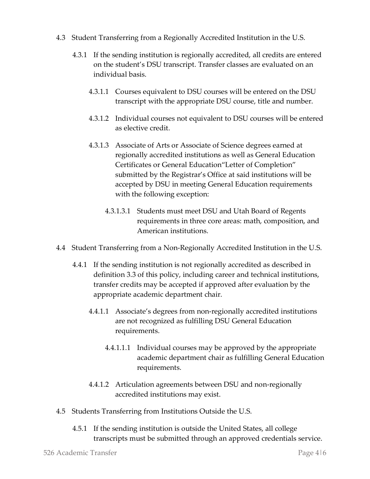- 4.3 Student Transferring from a Regionally Accredited Institution in the U.S.
	- 4.3.1 If the sending institution is regionally accredited, all credits are entered on the student's DSU transcript. Transfer classes are evaluated on an individual basis.
		- 4.3.1.1 Courses equivalent to DSU courses will be entered on the DSU transcript with the appropriate DSU course, title and number.
		- 4.3.1.2 Individual courses not equivalent to DSU courses will be entered as elective credit.
		- 4.3.1.3 Associate of Arts or Associate of Science degrees earned at regionally accredited institutions as well as General Education Certificates or General Education"Letter of Completion" submitted by the Registrar's Office at said institutions will be accepted by DSU in meeting General Education requirements with the following exception:
			- 4.3.1.3.1 Students must meet DSU and Utah Board of Regents requirements in three core areas: math, composition, and American institutions.
- 4.4 Student Transferring from a Non-Regionally Accredited Institution in the U.S.
	- 4.4.1 If the sending institution is not regionally accredited as described in definition 3.3 of this policy, including career and technical institutions, transfer credits may be accepted if approved after evaluation by the appropriate academic department chair.
		- 4.4.1.1 Associate's degrees from non-regionally accredited institutions are not recognized as fulfilling DSU General Education requirements.
			- 4.4.1.1.1 Individual courses may be approved by the appropriate academic department chair as fulfilling General Education requirements.
		- 4.4.1.2 Articulation agreements between DSU and non-regionally accredited institutions may exist.
- 4.5 Students Transferring from Institutions Outside the U.S.
	- 4.5.1 If the sending institution is outside the United States, all college transcripts must be submitted through an approved credentials service.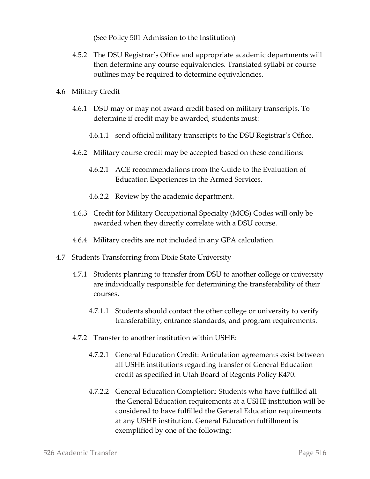(See Policy 501 Admission to the Institution)

- 4.5.2 The DSU Registrar's Office and appropriate academic departments will then determine any course equivalencies. Translated syllabi or course outlines may be required to determine equivalencies.
- 4.6 Military Credit
	- 4.6.1 DSU may or may not award credit based on military transcripts. To determine if credit may be awarded, students must:
		- 4.6.1.1 send official military transcripts to the DSU Registrar's Office.
	- 4.6.2 Military course credit may be accepted based on these conditions:
		- 4.6.2.1 ACE recommendations from the Guide to the Evaluation of Education Experiences in the Armed Services.
		- 4.6.2.2 Review by the academic department.
	- 4.6.3 Credit for Military Occupational Specialty (MOS) Codes will only be awarded when they directly correlate with a DSU course.
	- 4.6.4 Military credits are not included in any GPA calculation.
- 4.7 Students Transferring from Dixie State University
	- 4.7.1 Students planning to transfer from DSU to another college or university are individually responsible for determining the transferability of their courses.
		- 4.7.1.1 Students should contact the other college or university to verify transferability, entrance standards, and program requirements.
	- 4.7.2 Transfer to another institution within USHE:
		- 4.7.2.1 General Education Credit: Articulation agreements exist between all USHE institutions regarding transfer of General Education credit as specified in Utah Board of Regents Policy R470.
		- 4.7.2.2 General Education Completion: Students who have fulfilled all the General Education requirements at a USHE institution will be considered to have fulfilled the General Education requirements at any USHE institution. General Education fulfillment is exemplified by one of the following: